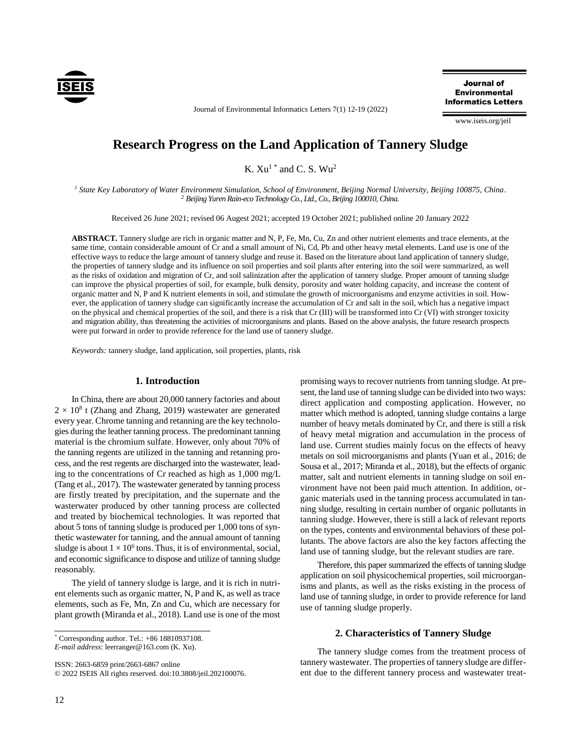

Journal of Environmental Informatics Letters 7(1) 12-19 (2022)

**Journal of Environmental Informatics Letters** 

www.iseis.org/jeil

# **Research Progress on the Land Application of Tannery Sludge**

K.  $Xu^{1*}$  and C. S.  $Wu^{2*}$ 

*<sup>1</sup> State Key Laboratory of Water Environment Simulation, School of Environment, Beijing Normal University, Beijing 100875, China. <sup>2</sup> Beijing Yuren Rain-eco Technology Co., Ltd., Co., Beijing 100010, China.* 

Received 26 June 2021; revised 06 Augest 2021; accepted 19 October 2021; published online 20 January 2022

**ABSTRACT.** Tannery sludge are rich in organic matter and N, P, Fe, Mn, Cu, Zn and other nutrient elements and trace elements, at the same time, contain considerable amount of Cr and a small amount of Ni, Cd, Pb and other heavy metal elements. Land use is one of the effective ways to reduce the large amount of tannery sludge and reuse it. Based on the literature about land application of tannery sludge, the properties of tannery sludge and its influence on soil properties and soil plants after entering into the soil were summarized, as well as the risks of oxidation and migration of Cr, and soil salinization after the application of tannery sludge. Proper amount of tanning sludge can improve the physical properties of soil, for example, bulk density, porosity and water holding capacity, and increase the content of organic matter and N, P and K nutrient elements in soil, and stimulate the growth of microorganisms and enzyme activities in soil. However, the application of tannery sludge can significantly increase the accumulation of Cr and salt in the soil, which has a negative impact on the physical and chemical properties of the soil, and there is a risk that Cr (III) will be transformed into Cr (VI) with stronger toxicity and migration ability, thus threatening the activities of microorganisms and plants. Based on the above analysis, the future research prospects were put forward in order to provide reference for the land use of tannery sludge.

*Keywords:* tannery sludge, land application, soil properties, plants, risk

## **1. Introduction**

In China, there are about 20,000 tannery factories and about  $2 \times 10^8$  t (Zhang and Zhang, 2019) wastewater are generated every year. Chrome tanning and retanning are the key technologies during the leather tanning process. The predominant tanning material is the chromium sulfate. However, only about 70% of the tanning regents are utilized in the tanning and retanning process, and the rest regents are discharged into the wastewater, leading to the concentrations of Cr reached as high as 1,000 mg/L (Tang et al., 2017). The wastewater generated by tanning process are firstly treated by precipitation, and the supernate and the wasterwater produced by other tanning process are collected and treated by biochemical technologies. It was reported that about 5 tons of tanning sludge is produced per 1,000 tons of synthetic wastewater for tanning, and the annual amount of tanning sludge is about  $1 \times 10^6$  tons. Thus, it is of environmental, social, and economic significance to dispose and utilize of tanning sludge reasonably.

The yield of tannery sludge is large, and it is rich in nutrient elements such as organic matter, N, P and K, as well as trace elements, such as Fe, Mn, Zn and Cu, which are necessary for plant growth (Miranda et al., 2018). Land use is one of the most

ISSN: 2663-6859 print/2663-6867 online © 2022 ISEIS All rights reserved. doi:10.3808/jeil.202100076.

12

promising ways to recover nutrients from tanning sludge. At present, the land use of tanning sludge can be divided into two ways: direct application and composting application. However, no matter which method is adopted, tanning sludge contains a large number of heavy metals dominated by Cr, and there is still a risk of heavy metal migration and accumulation in the process of land use. Current studies mainly focus on the effects of heavy metals on soil microorganisms and plants (Yuan et al., 2016; de Sousa et al., 2017; Miranda et al., 2018), but the effects of organic matter, salt and nutrient elements in tanning sludge on soil environment have not been paid much attention. In addition, organic materials used in the tanning process accumulated in tanning sludge, resulting in certain number of organic pollutants in tanning sludge. However, there is still a lack of relevant reports on the types, contents and environmental behaviors of these pollutants. The above factors are also the key factors affecting the land use of tanning sludge, but the relevant studies are rare.

Therefore, this paper summarized the effects of tanning sludge application on soil physicochemical properties, soil microorganisms and plants, as well as the risks existing in the process of land use of tanning sludge, in order to provide reference for land use of tanning sludge properly.

#### **2. Characteristics of Tannery Sludge**

The tannery sludge comes from the treatment process of tannery wastewater. The properties of tannery sludge are different due to the different tannery process and wastewater treat-

 $*$  Corresponding author. Tel.:  $+86$  18810937108.

*E-mail address*: leerranger@163.com (K. Xu).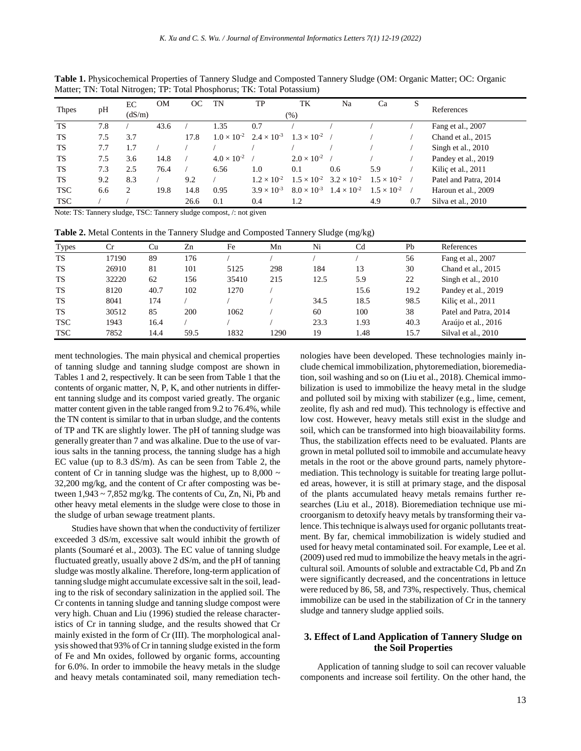| <b>Thpes</b> | pH  | EC                | <b>OM</b> | OС   | TN                   | TP                                        | TK                                        | Na                   | Ca                   | S   | References            |
|--------------|-----|-------------------|-----------|------|----------------------|-------------------------------------------|-------------------------------------------|----------------------|----------------------|-----|-----------------------|
|              |     | (dS/m)<br>$(\% )$ |           |      |                      |                                           |                                           |                      |                      |     |                       |
| <b>TS</b>    | 7.8 |                   | 43.6      |      | 1.35                 | 0.7                                       |                                           |                      |                      |     | Fang et al., 2007     |
| <b>TS</b>    | 7.5 | 3.7               |           | 17.8 |                      | $1.0 \times 10^{-2}$ $2.4 \times 10^{-3}$ | $1.3 \times 10^{-2}$                      |                      |                      |     | Chand et al., 2015    |
| <b>TS</b>    | 7.7 | 1.7               |           |      |                      |                                           |                                           |                      |                      |     | Singh et al., 2010    |
| TS           | 7.5 | 3.6               | 14.8      |      | $4.0 \times 10^{-2}$ |                                           | $2.0 \times 10^{-2}$                      |                      |                      |     | Pandey et al., 2019   |
| <b>TS</b>    | 7.3 | 2.5               | 76.4      |      | 6.56                 | 1.0                                       | 0.1                                       | 0.6                  | 5.9                  |     | Kiliç et al., 2011    |
| TS           | 9.2 | 8.3               |           | 9.2  |                      | $1.2 \times 10^{-2}$                      | $1.5 \times 10^{-2}$ $3.2 \times 10^{-2}$ |                      | $1.5 \times 10^{-2}$ |     | Patel and Patra, 2014 |
| <b>TSC</b>   | 6.6 | $\overline{c}$    | 19.8      | 14.8 | 0.95                 | $3.9 \times 10^{-3}$                      | $8.0 \times 10^{-3}$                      | $1.4 \times 10^{-2}$ | $1.5 \times 10^{-2}$ |     | Haroun et al., 2009   |
| <b>TSC</b>   |     |                   |           | 26.6 | 0.1                  | 0.4                                       | 1.2                                       |                      | 4.9                  | 0.7 | Silva et al., 2010    |

**Table 1.** Physicochemical Properties of Tannery Sludge and Composted Tannery Sludge (OM: Organic Matter; OC: Organic Matter; TN: Total Nitrogen; TP: Total Phosphorus; TK: Total Potassium)

Note: TS: Tannery sludge, TSC: Tannery sludge compost, /: not given

**Table 2.** Metal Contents in the Tannery Sludge and Composted Tannery Sludge (mg/kg)

| <b>Types</b> | Cr    | Cu   | Zn   | Fe    | Mn   | Ni   | Cd   | Pb   | References            |
|--------------|-------|------|------|-------|------|------|------|------|-----------------------|
| <b>TS</b>    | 17190 | 89   | 176  |       |      |      |      | 56   | Fang et al., 2007     |
| TS           | 26910 | 81   | 101  | 5125  | 298  | 184  | 13   | 30   | Chand et al., 2015    |
| TS           | 32220 | 62   | 156  | 35410 | 215  | 12.5 | 5.9  | 22   | Singh et al., 2010    |
| TS           | 8120  | 40.7 | 102  | 1270  |      |      | 15.6 | 19.2 | Pandey et al., 2019   |
| TS           | 8041  | 174  |      |       |      | 34.5 | 18.5 | 98.5 | Kiliç et al., 2011    |
| <b>TS</b>    | 30512 | 85   | 200  | 1062  |      | 60   | 100  | 38   | Patel and Patra, 2014 |
| <b>TSC</b>   | 1943  | 16.4 |      |       |      | 23.3 | 1.93 | 40.3 | Araújo et al., 2016   |
| <b>TSC</b>   | 7852  | 14.4 | 59.5 | 1832  | 1290 | 19   | 1.48 | 15.7 | Silval et al., 2010   |

ment technologies. The main physical and chemical properties of tanning sludge and tanning sludge compost are shown in Tables 1 and 2, respectively. It can be seen from Table 1 that the contents of organic matter, N, P, K, and other nutrients in different tanning sludge and its compost varied greatly. The organic matter content given in the table ranged from 9.2 to 76.4%, while the TN content is similar to that in urban sludge, and the contents of TP and TK are slightly lower. The pH of tanning sludge was generally greater than 7 and was alkaline. Due to the use of various salts in the tanning process, the tanning sludge has a high EC value (up to 8.3 dS/m). As can be seen from Table 2, the content of Cr in tanning sludge was the highest, up to  $8,000 \sim$ 32,200 mg/kg, and the content of Cr after composting was between  $1,943 \sim 7,852$  mg/kg. The contents of Cu, Zn, Ni, Pb and other heavy metal elements in the sludge were close to those in the sludge of urban sewage treatment plants.

Studies have shown that when the conductivity of fertilizer exceeded 3 dS/m, excessive salt would inhibit the growth of plants (Soumaré et al., 2003). The EC value of tanning sludge fluctuated greatly, usually above 2 dS/m, and the pH of tanning sludge was mostly alkaline. Therefore, long-term application of tanning sludge might accumulate excessive salt in the soil, leading to the risk of secondary salinization in the applied soil. The Cr contents in tanning sludge and tanning sludge compost were very high. Chuan and Liu (1996) studied the release characteristics of Cr in tanning sludge, and the results showed that Cr mainly existed in the form of Cr (III). The morphological analysisshowed that 93% of Crin tanning sludge existed in the form of Fe and Mn oxides, followed by organic forms, accounting for 6.0%. In order to immobile the heavy metals in the sludge and heavy metals contaminated soil, many remediation technologies have been developed. These technologies mainly include chemical immobilization, phytoremediation, bioremediation, soil washing and so on (Liu et al., 2018). Chemical immobilization is used to immobilize the heavy metal in the sludge and polluted soil by mixing with stabilizer (e.g., lime, cement, zeolite, fly ash and red mud). This technology is effective and low cost. However, heavy metals still exist in the sludge and soil, which can be transformed into high bioavailability forms. Thus, the stabilization effects need to be evaluated. Plants are grown in metal polluted soil to immobile and accumulate heavy metals in the root or the above ground parts, namely phytoremediation. This technology is suitable for treating large polluted areas, however, it is still at primary stage, and the disposal of the plants accumulated heavy metals remains further researches (Liu et al., 2018). Bioremediation technique use microorganism to detoxify heavy metals by transforming their valence. This technique is always used for organic pollutants treatment. By far, chemical immobilization is widely studied and used for heavy metal contaminated soil. For example, Lee et al. (2009) used red mud to immobilize the heavy metals in the agricultural soil. Amounts of soluble and extractable Cd, Pb and Zn were significantly decreased, and the concentrations in lettuce were reduced by 86, 58, and 73%, respectively. Thus, chemical immobilize can be used in the stabilization of Cr in the tannery sludge and tannery sludge applied soils.

# **3. Effect of Land Application of Tannery Sludge on the Soil Properties**

Application of tanning sludge to soil can recover valuable components and increase soil fertility. On the other hand, the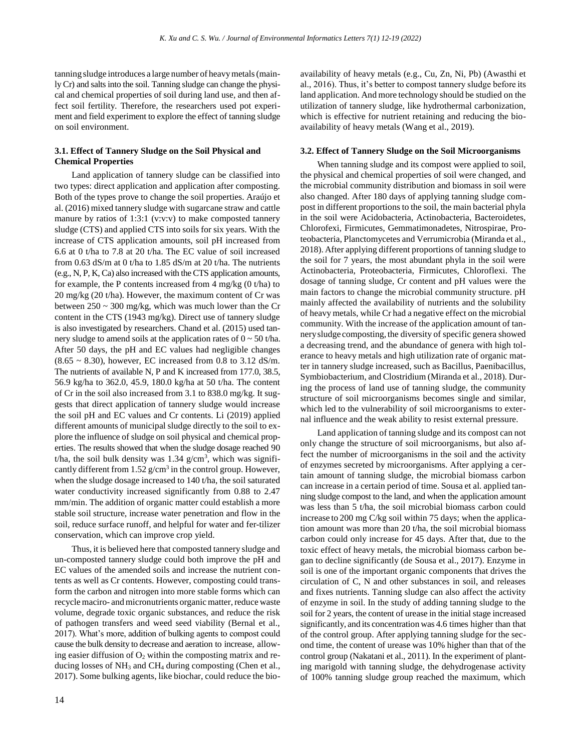tanning sludge introduces a large number of heavymetals(mainly Cr) and salts into the soil. Tanning sludge can change the physical and chemical properties of soil during land use, and then affect soil fertility. Therefore, the researchers used pot experiment and field experiment to explore the effect of tanning sludge on soil environment.

## **3.1. Effect of Tannery Sludge on the Soil Physical and Chemical Properties**

Land application of tannery sludge can be classified into two types: direct application and application after composting. Both of the types prove to change the soil properties. Araújo et al. (2016) mixed tannery sludge with sugarcane straw and cattle manure by ratios of 1:3:1 (v:v:v) to make composted tannery sludge (CTS) and applied CTS into soils for six years. With the increase of CTS application amounts, soil pH increased from 6.6 at 0 t/ha to 7.8 at 20 t/ha. The EC value of soil increased from 0.63 dS/m at 0 t/ha to 1.85 dS/m at 20 t/ha. The nutrients (e.g., N, P, K, Ca) also increased with the CTS application amounts, for example, the P contents increased from  $4 \text{ mg/kg}$  (0 t/ha) to 20 mg/kg (20 t/ha). However, the maximum content of Cr was between 250 ~ 300 mg/kg, which was much lower than the Cr content in the CTS (1943 mg/kg). Direct use of tannery sludge is also investigated by researchers. Chand et al. (2015) used tannery sludge to amend soils at the application rates of  $0 \sim 50$  t/ha. After 50 days, the pH and EC values had negligible changes  $(8.65 \sim 8.30)$ , however, EC increased from 0.8 to 3.12 dS/m. The nutrients of available N, P and K increased from 177.0, 38.5, 56.9 kg/ha to 362.0, 45.9, 180.0 kg/ha at 50 t/ha. The content of Cr in the soil also increased from 3.1 to 838.0 mg/kg. It suggests that direct application of tannery sludge would increase the soil pH and EC values and Cr contents. Li (2019) applied different amounts of municipal sludge directly to the soil to explore the influence of sludge on soil physical and chemical properties. The results showed that when the sludge dosage reached 90 t/ha, the soil bulk density was  $1.34$  g/cm<sup>3</sup>, which was significantly different from  $1.52$  g/cm<sup>3</sup> in the control group. However, when the sludge dosage increased to 140 t/ha, the soil saturated water conductivity increased significantly from 0.88 to 2.47 mm/min. The addition of organic matter could establish a more stable soil structure, increase water penetration and flow in the soil, reduce surface runoff, and helpful for water and fer-tilizer conservation, which can improve crop yield.

Thus, it is believed here that composted tannery sludge and un-composted tannery sludge could both improve the pH and EC values of the amended soils and increase the nutrient contents as well as Cr contents. However, composting could transform the carbon and nitrogen into more stable forms which can recycle maciro- and micronutrients organic matter, reduce waste volume, degrade toxic organic substances, and reduce the risk of pathogen transfers and weed seed viability (Bernal et al., 2017). What's more, addition of bulking agents to compost could cause the bulk density to decrease and aeration to increase, allowing easier diffusion of  $O_2$  within the composting matrix and reducing losses of  $NH_3$  and  $CH_4$  during composting (Chen et al., 2017). Some bulking agents, like biochar, could reduce the bioavailability of heavy metals (e.g., Cu, Zn, Ni, Pb) (Awasthi et al., 2016). Thus, it's better to compost tannery sludge before its land application. And more technology should be studied on the utilization of tannery sludge, like hydrothermal carbonization, which is effective for nutrient retaining and reducing the bioavailability of heavy metals (Wang et al., 2019).

#### **3.2. Effect of Tannery Sludge on the Soil Microorganisms**

When tanning sludge and its compost were applied to soil, the physical and chemical properties of soil were changed, and the microbial community distribution and biomass in soil were also changed. After 180 days of applying tanning sludge compost in different proportions to the soil, the main bacterial phyla in the soil were Acidobacteria, Actinobacteria, Bacteroidetes, Chlorofexi, Firmicutes, Gemmatimonadetes, Nitrospirae, Proteobacteria, Planctomycetes and Verrumicrobia (Miranda et al., 2018). After applying different proportions of tanning sludge to the soil for 7 years, the most abundant phyla in the soil were Actinobacteria, Proteobacteria, Firmicutes, Chloroflexi. The dosage of tanning sludge, Cr content and pH values were the main factors to change the microbial community structure. pH mainly affected the availability of nutrients and the solubility of heavy metals, while Cr had a negative effect on the microbial community. With the increase of the application amount of tannerysludge composting, the diversity of specific genera showed a decreasing trend, and the abundance of genera with high tolerance to heavy metals and high utilization rate of organic matter in tannery sludge increased, such as Bacillus, Paenibacillus, Symbiobacterium, and Clostridium (Miranda et al., 2018). During the process of land use of tanning sludge, the community structure of soil microorganisms becomes single and similar, which led to the vulnerability of soil microorganisms to external influence and the weak ability to resist external pressure.

Land application of tanning sludge and its compost can not only change the structure of soil microorganisms, but also affect the number of microorganisms in the soil and the activity of enzymes secreted by microorganisms. After applying a certain amount of tanning sludge, the microbial biomass carbon can increase in a certain period of time. Sousa et al. applied tanning sludge compost to the land, and when the application amount was less than 5 t/ha, the soil microbial biomass carbon could increase to 200 mg C/kg soil within 75 days; when the application amount was more than 20 t/ha, the soil microbial biomass carbon could only increase for 45 days. After that, due to the toxic effect of heavy metals, the microbial biomass carbon began to decline significantly (de Sousa et al., 2017). Enzyme in soil is one of the important organic components that drives the circulation of C, N and other substances in soil, and releases and fixes nutrients. Tanning sludge can also affect the activity of enzyme in soil. In the study of adding tanning sludge to the soil for 2 years, the content of urease in the initial stage increased significantly, and its concentration was 4.6 times higher than that of the control group. After applying tanning sludge for the second time, the content of urease was 10% higher than that of the control group (Nakatani et al., 2011). In the experiment of planting marigold with tanning sludge, the dehydrogenase activity of 100% tanning sludge group reached the maximum, which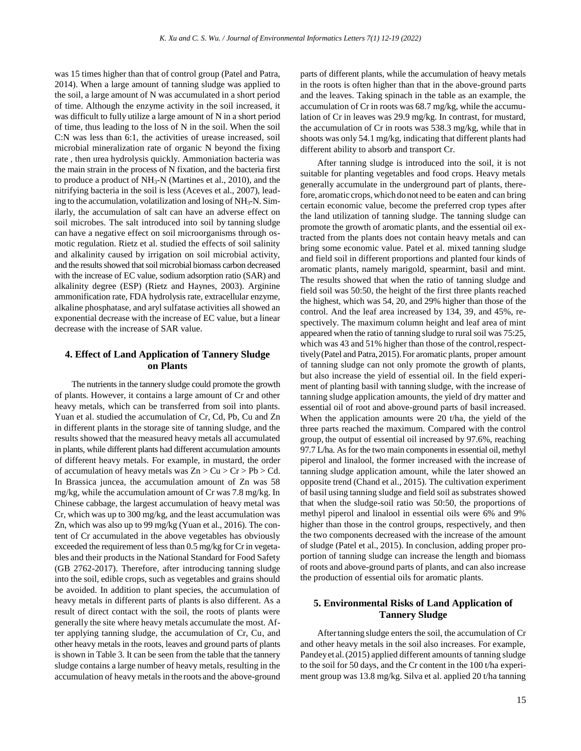was 15 times higher than that of control group (Patel and Patra, 2014). When a large amount of tanning sludge was applied to the soil, a large amount of N was accumulated in a short period of time. Although the enzyme activity in the soil increased, it was difficult to fully utilize a large amount of N in a short period of time, thus leading to the loss of N in the soil. When the soil C:N was less than 6:1, the activities of urease increased, soil microbial mineralization rate of organic N beyond the fixing rate , then urea hydrolysis quickly. Ammoniation bacteria was the main strain in the process of N fixation, and the bacteria first to produce a product of NH3-N (Martines et al., 2010), and the nitrifying bacteria in the soil is less (Aceves et al., 2007), leading to the accumulation, volatilization and losing of NH3-N. Similarly, the accumulation of salt can have an adverse effect on soil microbes. The salt introduced into soil by tanning sludge can have a negative effect on soil microorganisms through osmotic regulation. Rietz et al. studied the effects of soil salinity and alkalinity caused by irrigation on soil microbial activity, and the results showed that soil microbial biomass carbon decreased with the increase of EC value, sodium adsorption ratio (SAR) and alkalinity degree (ESP) (Rietz and Haynes, 2003). Arginine ammonification rate, FDA hydrolysis rate, extracellular enzyme, alkaline phosphatase, and aryl sulfatase activities all showed an exponential decrease with the increase of EC value, but a linear decrease with the increase of SAR value.

## **4. Effect of Land Application of Tannery Sludge on Plants**

The nutrients in the tannery sludge could promote the growth of plants. However, it contains a large amount of Cr and other heavy metals, which can be transferred from soil into plants. Yuan et al. studied the accumulation of Cr, Cd, Pb, Cu and Zn in different plants in the storage site of tanning sludge, and the results showed that the measured heavy metals all accumulated in plants, while different plants had different accumulation amounts of different heavy metals. For example, in mustard, the order of accumulation of heavy metals was  $Zn > Cu > Cr > Pb > Cd$ . In Brassica juncea, the accumulation amount of Zn was 58 mg/kg, while the accumulation amount of Cr was 7.8 mg/kg. In Chinese cabbage, the largest accumulation of heavy metal was Cr, which was up to 300 mg/kg, and the least accumulation was Zn, which was also up to 99 mg/kg (Yuan et al., 2016). The content of Cr accumulated in the above vegetables has obviously exceeded the requirement of less than 0.5 mg/kg for Cr in vegetables and their products in the National Standard for Food Safety (GB 2762-2017). Therefore, after introducing tanning sludge into the soil, edible crops, such as vegetables and grains should be avoided. In addition to plant species, the accumulation of heavy metals in different parts of plants is also different. As a result of direct contact with the soil, the roots of plants were generally the site where heavy metals accumulate the most. After applying tanning sludge, the accumulation of Cr, Cu, and other heavy metals in the roots, leaves and ground parts of plants is shown in Table 3. It can be seen from the table that the tannery sludge contains a large number of heavy metals, resulting in the accumulation of heavy metals in the roots and the above-ground parts of different plants, while the accumulation of heavy metals in the roots is often higher than that in the above-ground parts and the leaves. Taking spinach in the table as an example, the accumulation of Cr in roots was 68.7 mg/kg, while the accumulation of Cr in leaves was 29.9 mg/kg. In contrast, for mustard, the accumulation of Cr in roots was 538.3 mg/kg, while that in shoots was only 54.1 mg/kg, indicating that different plants had different ability to absorb and transport Cr.

After tanning sludge is introduced into the soil, it is not suitable for planting vegetables and food crops. Heavy metals generally accumulate in the underground part of plants, therefore, aromatic crops,whichdo not need to be eaten and can bring certain economic value, become the preferred crop types after the land utilization of tanning sludge. The tanning sludge can promote the growth of aromatic plants, and the essential oil extracted from the plants does not contain heavy metals and can bring some economic value. Patel et al. mixed tanning sludge and field soil in different proportions and planted four kinds of aromatic plants, namely marigold, spearmint, basil and mint. The results showed that when the ratio of tanning sludge and field soil was 50:50, the height of the first three plants reached the highest, which was 54, 20, and 29% higher than those of the control. And the leaf area increased by 134, 39, and 45%, respectively. The maximum column height and leaf area of mint appeared when the ratio of tanning sludge to rural soil was 75:25, which was 43 and 51% higher than those of the control, respecttively(Patel and Patra,2015).For aromatic plants, proper amount of tanning sludge can not only promote the growth of plants, but also increase the yield of essential oil. In the field experiment of planting basil with tanning sludge, with the increase of tanning sludge application amounts, the yield of dry matter and essential oil of root and above-ground parts of basil increased. When the application amounts were 20 t/ha, the yield of the three parts reached the maximum. Compared with the control group, the output of essential oil increased by 97.6%, reaching 97.7 L/ha. As for the two main components in essential oil, methyl piperol and linalool, the former increased with the increase of tanning sludge application amount, while the later showed an opposite trend (Chand et al., 2015). The cultivation experiment of basil using tanning sludge and field soil as substrates showed that when the sludge-soil ratio was 50:50, the proportions of methyl piperol and linalool in essential oils were 6% and 9% higher than those in the control groups, respectively, and then the two components decreased with the increase of the amount of sludge (Patel et al., 2015). In conclusion, adding proper proportion of tanning sludge can increase the length and biomass of roots and above-ground parts of plants, and can also increase the production of essential oils for aromatic plants.

## **5. Environmental Risks of Land Application of Tannery Sludge**

Aftertanning sludge enters the soil, the accumulation of Cr and other heavy metals in the soil also increases. For example, Pandey et al. (2015) applied different amounts of tanning sludge to the soil for 50 days, and the Cr content in the 100 t/ha experiment group was 13.8 mg/kg. Silva et al. applied 20 t/ha tanning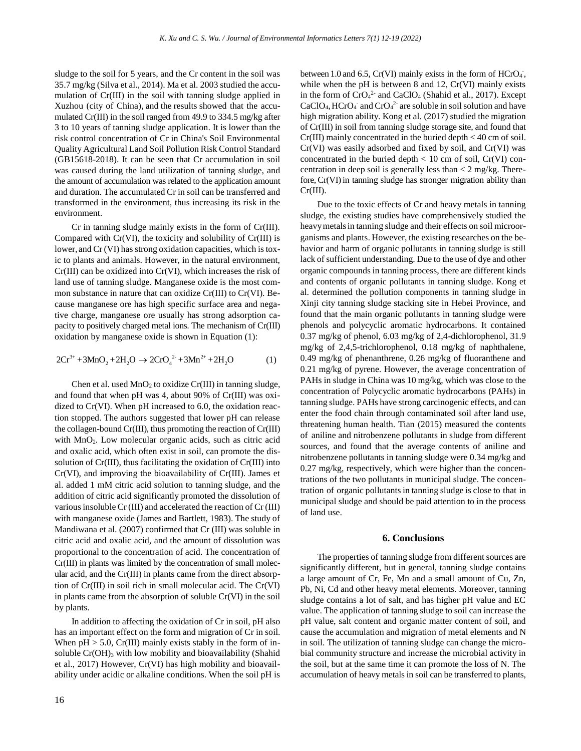sludge to the soil for 5 years, and the Cr content in the soil was 35.7 mg/kg (Silva et al., 2014). Ma et al. 2003 studied the accumulation of Cr(III) in the soil with tanning sludge applied in Xuzhou (city of China), and the results showed that the accumulated Cr(III) in the soil ranged from 49.9 to 334.5 mg/kg after 3 to 10 years of tanning sludge application. It is lower than the risk control concentration of Cr in China's Soil Environmental Quality Agricultural Land Soil Pollution Risk Control Standard (GB15618-2018). It can be seen that Cr accumulation in soil was caused during the land utilization of tanning sludge, and the amount of accumulation was related to the application amount and duration. The accumulated Cr in soil can be transferred and transformed in the environment, thus increasing its risk in the environment.

Cr in tanning sludge mainly exists in the form of Cr(III). Compared with Cr(VI), the toxicity and solubility of Cr(III) is lower, and Cr (VI) has strong oxidation capacities, which is toxic to plants and animals. However, in the natural environment, Cr(III) can be oxidized into Cr(VI), which increases the risk of land use of tanning sludge. Manganese oxide is the most common substance in nature that can oxidize Cr(III) to Cr(VI). Because manganese ore has high specific surface area and negative charge, manganese ore usually has strong adsorption capacity to positively charged metal ions. The mechanism of Cr(III) oxidation by manganese oxide is shown in Equation (1):

$$
2Cr^{3+} + 3MnO_2 + 2H_2O \rightarrow 2CrO_4^{2+} + 3Mn^{2+} + 2H_2O
$$
 (1)

Chen et al. used  $MnO<sub>2</sub>$  to oxidize Cr(III) in tanning sludge, and found that when pH was 4, about 90% of Cr(III) was oxidized to Cr(VI). When pH increased to 6.0, the oxidation reaction stopped. The authors suggested that lower pH can release the collagen-bound Cr(III), thus promoting the reaction of Cr(III) with MnO<sub>2</sub>. Low molecular organic acids, such as citric acid and oxalic acid, which often exist in soil, can promote the dissolution of Cr(III), thus facilitating the oxidation of Cr(III) into Cr(VI), and improving the bioavailability of Cr(III). James et al. added 1 mM citric acid solution to tanning sludge, and the addition of citric acid significantly promoted the dissolution of various insoluble Cr (III) and accelerated the reaction of Cr (III) with manganese oxide (James and Bartlett, 1983). The study of Mandiwana et al. (2007) confirmed that Cr (III) was soluble in citric acid and oxalic acid, and the amount of dissolution was proportional to the concentration of acid. The concentration of Cr(III) in plants was limited by the concentration of small molecular acid, and the Cr(III) in plants came from the direct absorption of Cr(III) in soil rich in small molecular acid. The Cr(VI) in plants came from the absorption of soluble Cr(VI) in the soil by plants.

In addition to affecting the oxidation of Cr in soil, pH also has an important effect on the form and migration of Cr in soil. When  $pH > 5.0$ , Cr(III) mainly exists stably in the form of insoluble Cr(OH)<sub>3</sub> with low mobility and bioavailability (Shahid et al., 2017) However, Cr(VI) has high mobility and bioavailability under acidic or alkaline conditions. When the soil pH is

between 1.0 and 6.5, Cr(VI) mainly exists in the form of  $HCrO<sub>4</sub>$ , while when the pH is between 8 and 12, Cr(VI) mainly exists in the form of CrO<sub>4</sub><sup>2</sup> and CaClO<sub>4</sub> (Shahid et al., 2017). Except  $CaClO<sub>4</sub>, HCrO<sub>4</sub>$  and  $CrO<sub>4</sub><sup>2</sup>$  are soluble in soil solution and have high migration ability. Kong et al. (2017) studied the migration of Cr(III) in soil from tanning sludge storage site, and found that Cr(III) mainly concentrated in the buried depth < 40 cm of soil. Cr(VI) was easily adsorbed and fixed by soil, and Cr(VI) was concentrated in the buried depth  $< 10$  cm of soil, Cr(VI) concentration in deep soil is generally less than  $\langle 2 \rangle$  mg/kg. Therefore, Cr(VI) in tanning sludge has stronger migration ability than Cr(III).

Due to the toxic effects of Cr and heavy metals in tanning sludge, the existing studies have comprehensively studied the heavymetalsin tanning sludge and their effects on soil microorganisms and plants. However, the existing researches on the behavior and harm of organic pollutants in tanning sludge is still lack of sufficient understanding. Due to the use of dye and other organic compounds in tanning process, there are different kinds and contents of organic pollutants in tanning sludge. Kong et al. determined the pollution components in tanning sludge in Xinji city tanning sludge stacking site in Hebei Province, and found that the main organic pollutants in tanning sludge were phenols and polycyclic aromatic hydrocarbons. It contained 0.37 mg/kg of phenol, 6.03 mg/kg of 2,4-dichlorophenol, 31.9 mg/kg of 2,4,5-trichlorophenol, 0.18 mg/kg of naphthalene, 0.49 mg/kg of phenanthrene, 0.26 mg/kg of fluoranthene and 0.21 mg/kg of pyrene. However, the average concentration of PAHs in sludge in China was 10 mg/kg, which was close to the concentration of Polycyclic aromatic hydrocarbons (PAHs) in tanning sludge. PAHs have strong carcinogenic effects, and can enter the food chain through contaminated soil after land use, threatening human health. Tian (2015) measured the contents of aniline and nitrobenzene pollutants in sludge from different sources, and found that the average contents of aniline and nitrobenzene pollutants in tanning sludge were 0.34 mg/kg and 0.27 mg/kg, respectively, which were higher than the concentrations of the two pollutants in municipal sludge. The concentration of organic pollutants in tanning sludge is close to that in municipal sludge and should be paid attention to in the process of land use.

#### **6. Conclusions**

The properties of tanning sludge from different sources are significantly different, but in general, tanning sludge contains a large amount of Cr, Fe, Mn and a small amount of Cu, Zn, Pb, Ni, Cd and other heavy metal elements. Moreover, tanning sludge contains a lot of salt, and has higher pH value and EC value. The application of tanning sludge to soil can increase the pH value, salt content and organic matter content of soil, and cause the accumulation and migration of metal elements and N in soil. The utilization of tanning sludge can change the microbial community structure and increase the microbial activity in the soil, but at the same time it can promote the loss of N. The accumulation of heavy metals in soil can be transferred to plants,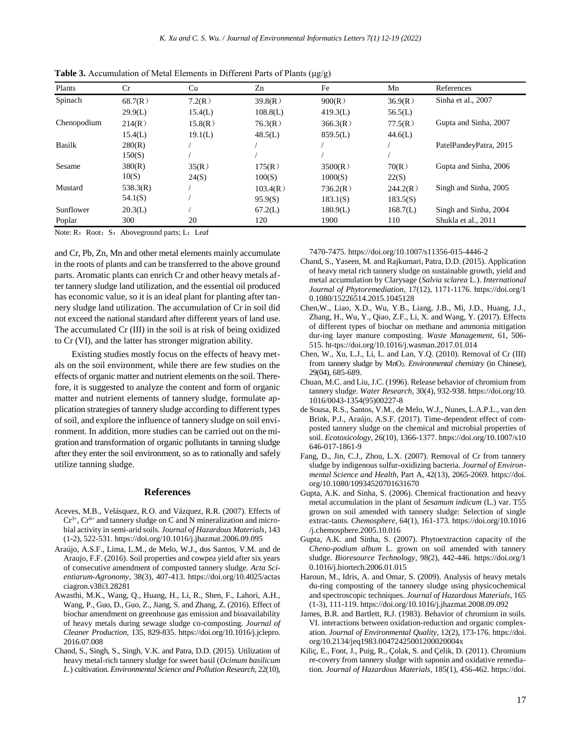| Plants        | Cr       | Cu      | Zn       | Fe       | Mn       | References             |
|---------------|----------|---------|----------|----------|----------|------------------------|
| Spinach       | 68.7(R)  | 7.2(R)  | 39.8(R)  | 900(R)   | 36.9(R)  | Sinha et al., 2007     |
|               | 29.9(L)  | 15.4(L) | 108.8(L) | 419.3(L) | 56.5(L)  |                        |
| Chenopodium   | 214(R)   | 15.8(R) | 76.3(R)  | 366.3(R) | 77.5(R)  | Gupta and Sinha, 2007  |
|               | 15.4(L)  | 19.1(L) | 48.5(L)  | 859.5(L) | 44.6(L)  |                        |
| <b>Basilk</b> | 280(R)   |         |          |          |          | PatelPandeyPatra, 2015 |
|               | 150(S)   |         |          |          |          |                        |
| Sesame        | 380(R)   | 35(R)   | 175(R)   | 3500(R)  | 70(R)    | Gupta and Sinha, 2006  |
|               | 10(S)    | 24(S)   | 100(S)   | 1000(S)  | 22(S)    |                        |
| Mustard       | 538.3(R) |         | 103.4(R) | 736.2(R) | 244.2(R) | Singh and Sinha, 2005  |
|               | 54.1(S)  |         | 95.9(S)  | 183.1(S) | 183.5(S) |                        |
| Sunflower     | 20.3(L)  |         | 67.2(L)  | 180.9(L) | 168.7(L) | Singh and Sinha, 2004  |
| Poplar        | 300      | 20      | 120      | 1900     | 110      | Shukla et al., 2011    |

**Table 3.** Accumulation of Metal Elements in Different Parts of Plants (μg/g)

Note: R: Root; S: Aboveground parts; L: Leaf

and Cr, Pb, Zn, Mn and other metal elements mainly accumulate in the roots of plants and can be transferred to the above ground parts. Aromatic plants can enrich Cr and other heavy metals after tannery sludge land utilization, and the essential oil produced has economic value, so it is an ideal plant for planting after tannery sludge land utilization. The accumulation of Cr in soil did not exceed the national standard after different years of land use. The accumulated Cr (III) in the soil is at risk of being oxidized to Cr (VI), and the latter has stronger migration ability.

Existing studies mostly focus on the effects of heavy metals on the soil environment, while there are few studies on the effects of organic matter and nutrient elements on the soil. Therefore, it is suggested to analyze the content and form of organic matter and nutrient elements of tannery sludge, formulate application strategies of tannery sludge according to different types of soil, and explore the influence of tannery sludge on soil environment. In addition, more studies can be carried out on themigration and transformation of organic pollutants in tanning sludge after they enter the soil environment, so as to rationally and safely utilize tanning sludge.

#### **References**

- Aceves, M.B., Velásquez, R.O. and Vázquez, R.R. (2007). Effects of  $Cr^{3+}$ ,  $Cr^{6+}$  and tannery sludge on C and N mineralization and microbial activity in semi-arid soils. *Journal of Hazardous Materials*, 143 (1-2), 522-531. https://doi.org/10.1016/j.jhazmat.2006.09.095
- Araújo, A.S.F., Lima, L.M., de Melo, W.J., dos Santos, V.M. and de Araujo, F.F. (2016). Soil properties and cowpea yield after six years of consecutive amendment of composted tannery sludge. *Acta Scientiarum-Agronomy*, 38(3), 407-413. https://doi.org/10.4025/actas ciagron.v38i3.28281
- Awasthi, M.K., Wang, Q., Huang, H., Li, R., Shen, F., Lahori, A.H., Wang, P., Guo, D., Guo, Z., Jiang, S. and Zhang, Z. (2016). Effect of biochar amendment on greenhouse gas emission and bioavailability of heavy metals during sewage sludge co-composting. *Journal of Cleaner Production*, 135, 829-835. https://doi.org/10.1016/j.jclepro. 2016.07.008
- Chand, S., Singh, S., Singh, V.K. and Patra, D.D. (2015). Utilization of heavy metal-rich tannery sludge for sweet basil (*Ocimum basilicum L.*) cultivation. *Environmental Science and Pollution Research*, 22(10),

7470-7475. https://doi.org/10.1007/s11356-015-4446-2

- Chand, S., Yaseen, M. and Rajkumari, Patra, D.D. (2015). Application of heavy metal rich tannery sludge on sustainable growth, yield and metal accumulation by Clarysage (*Salvia sclarea* L.). *International Journal of Phytoremediation*, 17(12), 1171-1176. https://doi.org/1 0.1080/15226514.2015.1045128
- Chen,W., Liao, X.D., Wu, Y.B., Liang, J.B., Mi, J.D., Huang, J.J., Zhang, H., Wu, Y., Qiao, Z.F., Li, X. and Wang, Y. (2017). Effects of different types of biochar on methane and ammonia mitigation dur-ing layer manure composting. *Waste Management*, 61, 506- 515. ht-tps://doi.org/10.1016/j.wasman.2017.01.014
- Chen, W., Xu, L.J., Li, L. and Lan, Y.Q. (2010). Removal of Cr (III) from tannery sludge by MnO2. *Environmental chemistry* (in Chinese), 29(04), 685-689.
- Chuan, M.C. and Liu, J.C. (1996). Release behavior of chromium from tannery sludge. *Water Research*, 30(4), 932-938. https://doi.org/10. 1016/0043-1354(95)00227-8
- de Sousa, R.S., Santos, V.M., de Melo, W.J., Nunes, L.A.P.L., van den Brink, P.J., Araújo, A.S.F. (2017). Time-dependent effect of composted tannery sludge on the chemical and microbial properties of soil. *Ecotoxicology*, 26(10), 1366-1377. https://doi.org/10.1007/s10 646-017-1861-9
- Fang, D., Jin, C.J., Zhou, L.X. (2007). Removal of Cr from tannery sludge by indigenous sulfur-oxidizing bacteria. *Journal of Environmental Science and Health*, Part A, 42(13), 2065-2069. https://doi. org/10.1080/10934520701631670
- Gupta, A.K. and Sinha, S. (2006). Chemical fractionation and heavy metal accumulation in the plant of *Sesamum indicum* (L.) var. T55 grown on soil amended with tannery sludge: Selection of single extrac-tants. *Chemosphere*, 64(1), 161-173. https://doi.org/10.1016 /j.chemosphere.2005.10.016
- Gupta, A.K. and Sinha, S. (2007). Phytoextraction capacity of the *Cheno-podium album* L. grown on soil amended with tannery sludge. *Bioresource Technology*, 98(2), 442-446. https://doi.org/1 0.1016/j.biortech.2006.01.015
- Haroun, M., Idris, A. and Omar, S. (2009). Analysis of heavy metals du-ring composting of the tannery sludge using physicochemical and spectroscopic techniques. *Journal of Hazardous Materials*, 165 (1-3), 111-119. https://doi.org/10.1016/j.jhazmat.2008.09.092
- James, B.R. and Bartlett, R.J. (1983). Behavior of chromium in soils. VI. interactions between oxidation-reduction and organic complexation. *Journal of Environmental Quality*, 12(2), 173-176. https://doi. org/10.2134/jeq1983.00472425001200020004x
- Kiliç, E., Font, J., Puig, R., Çolak, S. and Çelik, D. (2011). Chromium re-covery from tannery sludge with saponin and oxidative remediation. *Journal of Hazardous Materials*, 185(1), 456-462. https://doi.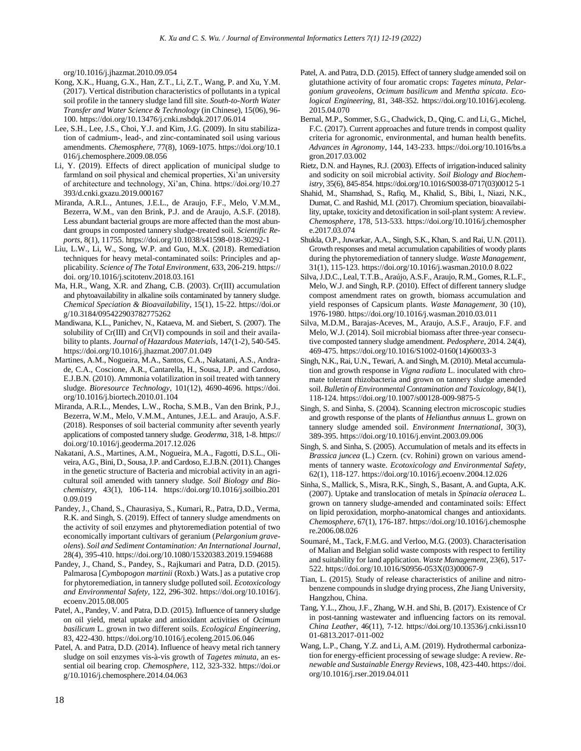org/10.1016/j.jhazmat.2010.09.054

- Kong, X.K., Huang, G.X., Han, Z.T., Li, Z.T., Wang, P. and Xu, Y.M. (2017). Vertical distribution characteristics of pollutants in a typical soil profile in the tannery sludge land fill site. *South-to-North Water Transfer and Water Science & Technology* (in Chinese), 15(06), 96- 100. https://doi.org/10.13476/j.cnki.nsbdqk.2017.06.014
- Lee, S.H., Lee, J.S., Choi, Y.J. and Kim, J.G. (2009). In situ stabilization of cadmium-, lead-, and zinc-contaminated soil using various amendments. *Chemosphere*, 77(8), 1069-1075. https://doi.org/10.1 016/j.chemosphere.2009.08.056
- Li, Y. (2019). Effects of direct application of municipal sludge to farmland on soil physical and chemical properties, Xi'an university of architecture and technology, Xi'an, China. https://doi.org/10.27 393/d.cnki.gxazu.2019.000167
- Miranda, A.R.L., Antunes, J.E.L., de Araujo, F.F., Melo, V.M.M., Bezerra, W.M., van den Brink, P.J. and de Araujo, A.S.F. (2018). Less abundant bacterial groups are more affected than the most abundant groups in composted tannery sludge-treated soil. *Scientific Reports*, 8(1), 11755. https://doi.org/10.1038/s41598-018-30292-1
- Liu, L.W., Li, W., Song, W.P. and Guo, M.X. (2018). Remediation techniques for heavy metal-contaminated soils: Principles and applicability. *Science of The Total Environment*, 633, 206-219. https:// doi. org/10.1016/j.scitotenv.2018.03.161
- Ma, H.R., Wang, X.R. and Zhang, C.B. (2003). Cr(III) accumulation and phytoavailability in alkaline soils contaminated by tannery sludge. *Chemical Speciation & Bioavailability*, 15(1), 15-22. https://doi.or g/10.3184/095422903782775262
- Mandiwana, K.L., Panichev, N., Kataeva, M. and Siebert, S. (2007). The solubility of Cr(III) and Cr(VI) compounds in soil and their availability to plants. *Journal of Hazardous Materials*, 147(1-2), 540-545. https://doi.org/10.1016/j.jhazmat.2007.01.049
- Martines, A.M., Nogueira, M.A., Santos, C.A., Nakatani, A.S., Andrade, C.A., Coscione, A.R., Cantarella, H., Sousa, J.P. and Cardoso, E.J.B.N. (2010). Ammonia volatilization in soil treated with tannery sludge. *Bioresource Technology*, 101(12), 4690-4696. https://doi. org/10.1016/j.biortech.2010.01.104
- Miranda, A.R.L., Mendes, L.W., Rocha, S.M.B., Van den Brink, P.J., Bezerra, W.M., Melo, V.M.M., Antunes, J.E.L. and Araujo, A.S.F. (2018). Responses of soil bacterial community after seventh yearly applications of composted tannery sludge. *Geoderma*, 318, 1-8. https:// doi.org/10.1016/j.geoderma.2017.12.026
- Nakatani, A.S., Martines, A.M., Nogueira, M.A., Fagotti, D.S.L., Oliveira, A.G., Bini, D., Sousa, J.P. andCardoso, E.J.B.N. (2011). Changes in the genetic structure of Bacteria and microbial activity in an agricultural soil amended with tannery sludge. *Soil Biology and Biochemistry*, 43(1), 106-114. https://doi.org/10.1016/j.soilbio.201 0.09.019
- Pandey, J., Chand, S., Chaurasiya, S., Kumari, R., Patra, D.D., Verma, R.K. and Singh, S. (2019). Effect of tannery sludge amendments on the activity of soil enzymes and phytoremediation potential of two economically important cultivars of geranium (*Pelargonium graveolens*). *Soil and Sediment Contamination: An International Journal*, 28(4), 395-410. https://doi.org/10.1080/15320383.2019.1594688
- Pandey, J., Chand, S., Pandey, S., Rajkumari and Patra, D.D. (2015). Palmarosa [*Cymbopogon martinii* (Roxb.) Wats.] as a putative crop for phytoremediation, in tannery sludge polluted soil. *Ecotoxicology and Environmental Safety*, 122, 296-302. https://doi.org/10.1016/j. ecoenv.2015.08.005
- Patel, A., Pandey, V. and Patra, D.D. (2015). Influence of tannery sludge on oil yield, metal uptake and antioxidant activities of *Ocimum basilicum* L. grown in two different soils. *Ecological Engineering*, 83, 422-430. https://doi.org/10.1016/j.ecoleng.2015.06.046
- Patel, A. and Patra, D.D. (2014). Influence of heavy metal rich tannery sludge on soil enzymes vis-à-vis growth of *Tagetes minuta*, an essential oil bearing crop. *Chemosphere*, 112, 323-332. https://doi.or g/10.1016/j.chemosphere.2014.04.063
- Patel, A. and Patra, D.D. (2015). Effect of tannery sludge amended soil on glutathione activity of four aromatic crops: *Tagetes minuta*, *Pelargonium graveolens*, *Ocimum basilicum* and *Mentha spicata*. *Ecological Engineering*, 81, 348-352. https://doi.org/10.1016/j.ecoleng. 2015.04.070
- Bernal, M.P., Sommer, S.G., Chadwick, D., Qing, C. and Li, G., Michel, F.C. (2017). Current approaches and future trends in compost quality criteria for agronomic, environmental, and human health benefits. *Advances in Agronomy*, 144, 143-233. https://doi.org/10.1016/bs.a gron.2017.03.002
- Rietz, D.N. and Haynes, R.J. (2003). Effects of irrigation-induced salinity and sodicity on soil microbial activity. *Soil Biology and Biochemistry*, 35(6), 845-854. https://doi.org/10.1016/S0038-0717(03)0012 5-1
- Shahid, M., Shamshad, S., Rafiq, M., Khalid, S., Bibi, I., Niazi, N.K., Dumat, C. and Rashid, M.I. (2017). Chromium speciation, bioavailability, uptake, toxicity and detoxification in soil-plant system: A review. *Chemosphere*, 178, 513-533. https://doi.org/10.1016/j.chemospher e.2017.03.074
- Shukla, O.P., Juwarkar, A.A., Singh, S.K., Khan, S. and Rai, U.N. (2011). Growth responses and metal accumulation capabilities of woody plants during the phytoremediation of tannery sludge. *Waste Management*, 31(1), 115-123. https://doi.org/10.1016/j.wasman.2010.0 8.022
- Silva, J.D.C., Leal, T.T.B., Araújo, A.S.F., Araujo, R.M., Gomes, R.L.F., Melo, W.J. and Singh, R.P. (2010). Effect of different tannery sludge compost amendment rates on growth, biomass accumulation and yield responses of Capsicum plants. *Waste Management*, 30 (10), 1976-1980. https://doi.org/10.1016/j.wasman.2010.03.011
- Silva, M.D.M., Barajas-Aceves, M., Araujo, A.S.F., Araujo, F.F. and Melo, W.J. (2014). Soil microbial biomass after three-year consecutive composted tannery sludge amendment. *Pedosphere*, 2014. 24(4), 469-475. https://doi.org/10.1016/S1002-0160(14)60033-3
- Singh, N.K., Rai, U.N., Tewari, A. and Singh, M. (2010). Metal accumulation and growth response in *Vigna radiata* L. inoculated with chromate tolerant rhizobacteria and grown on tannery sludge amended soil. *Bulletin of Environmental Contamination and Toxicology*, 84(1), 118-124. https://doi.org/10.1007/s00128-009-9875-5
- Singh, S. and Sinha, S. (2004). Scanning electron microscopic studies and growth response of the plants of *Helianthus annuus* L. grown on tannery sludge amended soil. *Environment International*, 30(3), 389-395. https://doi.org/10.1016/j.envint.2003.09.006
- Singh, S. and Sinha, S. (2005). Accumulation of metals and its effects in *Brassica juncea* (L.) Czern. (cv. Rohini) grown on various amendments of tannery waste. *Ecotoxicology and Environmental Safety*, 62(1), 118-127. https://doi.org/10.1016/j.ecoenv.2004.12.026
- Sinha, S., Mallick, S., Misra, R.K., Singh, S., Basant, A. and Gupta, A.K. (2007). Uptake and translocation of metals in *Spinacia oleracea* L. grown on tannery sludge-amended and contaminated soils: Effect on lipid peroxidation, morpho-anatomical changes and antioxidants. *Chemosphere*, 67(1), 176-187. https://doi.org/10.1016/j.chemosphe re.2006.08.026
- Soumaré, M., Tack, F.M.G. and Verloo, M.G. (2003). Characterisation of Malian and Belgian solid waste composts with respect to fertility and suitability for land application. *Waste Management*, 23(6), 517- 522. https://doi.org/10.1016/S0956-053X(03)00067-9
- Tian, L. (2015). Study of release characteristics of aniline and nitrobenzene compounds in sludge drying process, Zhe Jiang University, Hangzhou, China.
- Tang, Y.L., Zhou, J.F., Zhang, W.H. and Shi, B. (2017). Existence of Cr in post-tanning wastewater and influencing factors on its removal. *China Leather*, 46(11), 7-12. https://doi.org/10.13536/j.cnki.issn10 01-6813.2017-011-002
- Wang, L.P., Chang, Y.Z. and Li, A.M. (2019). Hydrothermal carbonization for energy-efficient processing of sewage sludge: A review. *Renewable and Sustainable Energy Reviews*, 108, 423-440. https://doi. org/10.1016/j.rser.2019.04.011